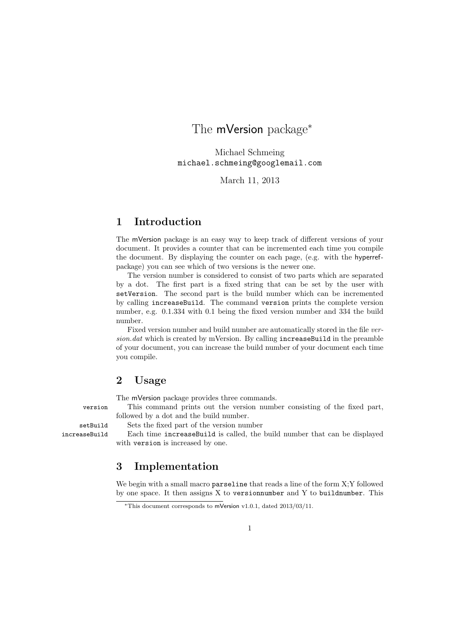# The mVersion package<sup>\*</sup>

Michael Schmeing michael.schmeing@googlemail.com

March 11, 2013

## 1 Introduction

The mVersion package is an easy way to keep track of different versions of your document. It provides a counter that can be incremented each time you compile the document. By displaying the counter on each page, (e.g. with the hyperrefpackage) you can see which of two versions is the newer one.

The version number is considered to consist of two parts which are separated by a dot. The first part is a fixed string that can be set by the user with setVersion. The second part is the build number which can be incremented by calling increaseBuild. The command version prints the complete version number, e.g. 0.1.334 with 0.1 being the fixed version number and 334 the build number.

Fixed version number and build number are automatically stored in the file ver $sion.dat$  which is created by mVersion. By calling increaseBuild in the preamble of your document, you can increase the build number of your document each time you compile.

## 2 Usage

The mVersion package provides three commands.

version This command prints out the version number consisting of the fixed part, followed by a dot and the build number.

setBuild Sets the fixed part of the version number

increaseBuild Each time increaseBuild is called, the build number that can be displayed with version is increased by one.

## 3 Implementation

We begin with a small macro parseline that reads a line of the form X;Y followed by one space. It then assigns X to versionnumber and Y to buildnumber. This

<sup>∗</sup>This document corresponds to mVersion v1.0.1, dated 2013/03/11.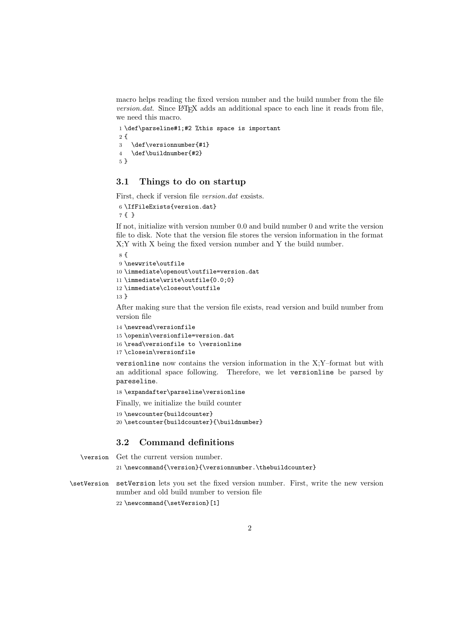macro helps reading the fixed version number and the build number from the file  $version.dat$ . Since  $\Delta F$ <sub>E</sub>X adds an additional space to each line it reads from file, we need this macro.

```
1 \def\parseline#1;#2 %this space is important
2f3 \def\versionnumber{#1}
4 \def\buildnumber{#2}
5 }
```
#### 3.1 Things to do on startup

First, check if version file version.dat exsists.

```
6 \IfFileExists{version.dat}
7 { }
```
If not, initialize with version number 0.0 and build number 0 and write the version file to disk. Note that the version file stores the version information in the format X;Y with X being the fixed version number and Y the build number.

```
8 {
9 \newwrite\outfile
10 \immediate\openout\outfile=version.dat
11 \immediate\write\outfile{0.0;0}
12 \immediate\closeout\outfile
13 }
```
After making sure that the version file exists, read version and build number from version file

```
14 \newread\versionfile
15 \openin\versionfile=version.dat
16 \read\versionfile to \versionline
17 \closein\versionfile
```
versionline now contains the version information in the X;Y–format but with an additional space following. Therefore, we let versionline be parsed by pareseline.

18 \expandafter\parseline\versionline

Finally, we initialize the build counter

```
19 \newcounter{buildcounter}
20 \setcounter{buildcounter}{\buildnumber}
```
#### 3.2 Command definitions

\version Get the current version number. 21 \newcommand{\version}{\versionnumber.\thebuildcounter}

\setVersion setVersion lets you set the fixed version number. First, write the new version number and old build number to version file 22 \newcommand{\setVersion}[1]